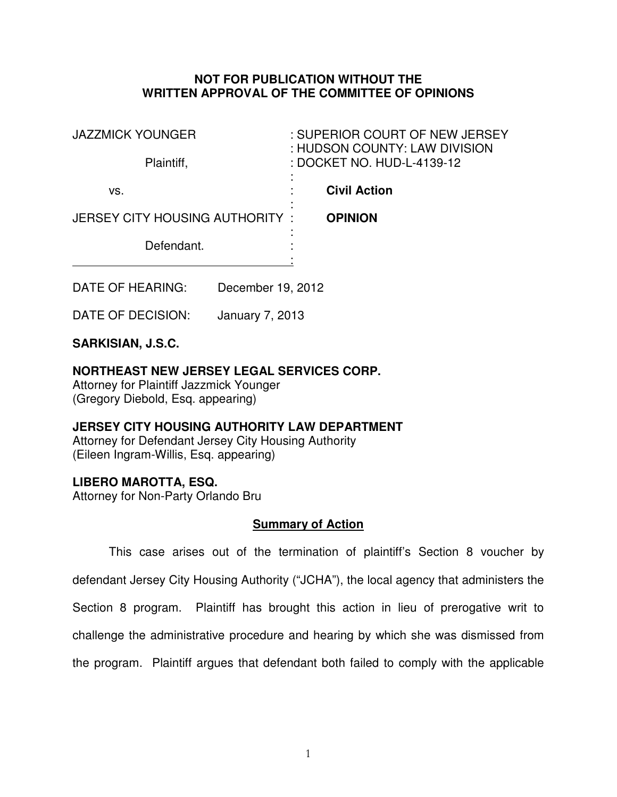## **NOT FOR PUBLICATION WITHOUT THE WRITTEN APPROVAL OF THE COMMITTEE OF OPINIONS**

| <b>JAZZMICK YOUNGER</b>        | : SUPERIOR COURT OF NEW JERSEY<br>: HUDSON COUNTY: LAW DIVISION |
|--------------------------------|-----------------------------------------------------------------|
| Plaintiff,                     | : DOCKET NO. HUD-L-4139-12                                      |
| VS.                            | <b>Civil Action</b>                                             |
| JERSEY CITY HOUSING AUTHORITY: | <b>OPINION</b><br>۰                                             |
| Defendant.                     |                                                                 |
|                                |                                                                 |

DATE OF HEARING: December 19, 2012

DATE OF DECISION: January 7, 2013

## **SARKISIAN, J.S.C.**

# **NORTHEAST NEW JERSEY LEGAL SERVICES CORP.**

Attorney for Plaintiff Jazzmick Younger (Gregory Diebold, Esq. appearing)

# **JERSEY CITY HOUSING AUTHORITY LAW DEPARTMENT**

Attorney for Defendant Jersey City Housing Authority (Eileen Ingram-Willis, Esq. appearing)

## **LIBERO MAROTTA, ESQ.**

Attorney for Non-Party Orlando Bru

## **Summary of Action**

 This case arises out of the termination of plaintiff's Section 8 voucher by defendant Jersey City Housing Authority ("JCHA"), the local agency that administers the Section 8 program. Plaintiff has brought this action in lieu of prerogative writ to challenge the administrative procedure and hearing by which she was dismissed from the program. Plaintiff argues that defendant both failed to comply with the applicable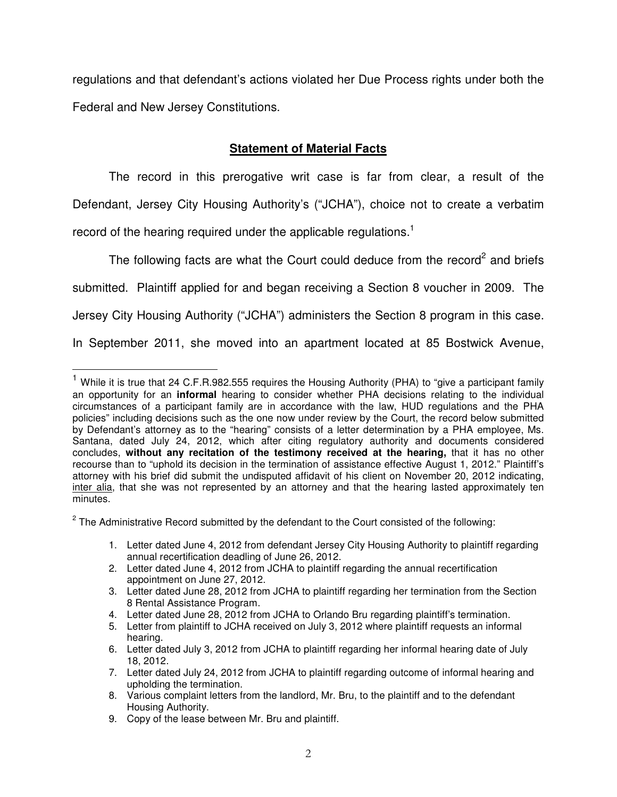regulations and that defendant's actions violated her Due Process rights under both the Federal and New Jersey Constitutions.

## **Statement of Material Facts**

The record in this prerogative writ case is far from clear, a result of the Defendant, Jersey City Housing Authority's ("JCHA"), choice not to create a verbatim record of the hearing required under the applicable regulations.<sup>1</sup>

The following facts are what the Court could deduce from the record<sup>2</sup> and briefs submitted. Plaintiff applied for and began receiving a Section 8 voucher in 2009. The Jersey City Housing Authority ("JCHA") administers the Section 8 program in this case. In September 2011, she moved into an apartment located at 85 Bostwick Avenue,

 $2$  The Administrative Record submitted by the defendant to the Court consisted of the following:

- 1. Letter dated June 4, 2012 from defendant Jersey City Housing Authority to plaintiff regarding annual recertification deadling of June 26, 2012.
- 2. Letter dated June 4, 2012 from JCHA to plaintiff regarding the annual recertification appointment on June 27, 2012.

4. Letter dated June 28, 2012 from JCHA to Orlando Bru regarding plaintiff's termination.

 $\overline{a}$ 

<sup>&</sup>lt;sup>1</sup> While it is true that 24 C.F.R.982.555 requires the Housing Authority (PHA) to "give a participant family an opportunity for an **informal** hearing to consider whether PHA decisions relating to the individual circumstances of a participant family are in accordance with the law, HUD regulations and the PHA policies" including decisions such as the one now under review by the Court, the record below submitted by Defendant's attorney as to the "hearing" consists of a letter determination by a PHA employee, Ms. Santana, dated July 24, 2012, which after citing regulatory authority and documents considered concludes, **without any recitation of the testimony received at the hearing,** that it has no other recourse than to "uphold its decision in the termination of assistance effective August 1, 2012." Plaintiff's attorney with his brief did submit the undisputed affidavit of his client on November 20, 2012 indicating, inter alia, that she was not represented by an attorney and that the hearing lasted approximately ten minutes.

<sup>3.</sup> Letter dated June 28, 2012 from JCHA to plaintiff regarding her termination from the Section 8 Rental Assistance Program.

<sup>5.</sup> Letter from plaintiff to JCHA received on July 3, 2012 where plaintiff requests an informal hearing.

<sup>6.</sup> Letter dated July 3, 2012 from JCHA to plaintiff regarding her informal hearing date of July 18, 2012.

<sup>7.</sup> Letter dated July 24, 2012 from JCHA to plaintiff regarding outcome of informal hearing and upholding the termination.

<sup>8.</sup> Various complaint letters from the landlord, Mr. Bru, to the plaintiff and to the defendant Housing Authority.

<sup>9.</sup> Copy of the lease between Mr. Bru and plaintiff.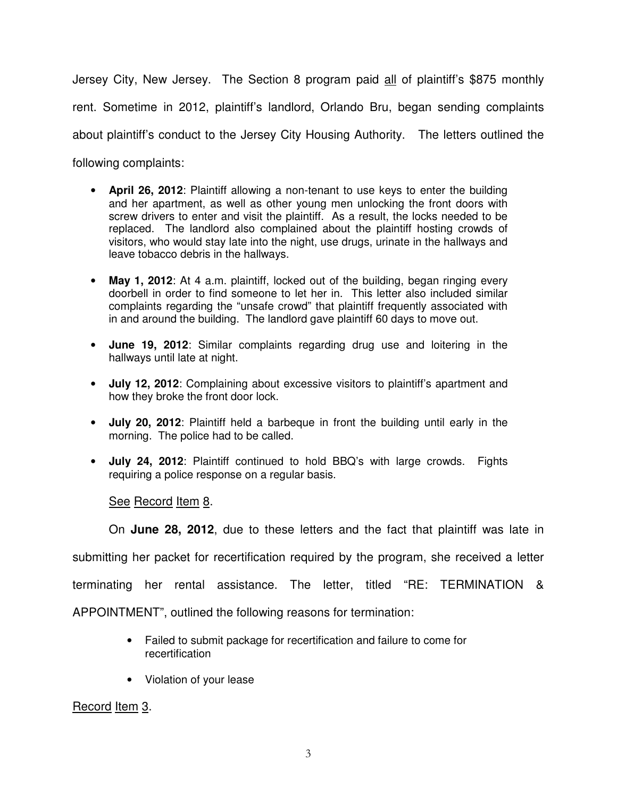Jersey City, New Jersey. The Section 8 program paid all of plaintiff's \$875 monthly rent. Sometime in 2012, plaintiff's landlord, Orlando Bru, began sending complaints about plaintiff's conduct to the Jersey City Housing Authority. The letters outlined the following complaints:

- **April 26, 2012**: Plaintiff allowing a non-tenant to use keys to enter the building and her apartment, as well as other young men unlocking the front doors with screw drivers to enter and visit the plaintiff. As a result, the locks needed to be replaced. The landlord also complained about the plaintiff hosting crowds of visitors, who would stay late into the night, use drugs, urinate in the hallways and leave tobacco debris in the hallways.
- **May 1, 2012**: At 4 a.m. plaintiff, locked out of the building, began ringing every doorbell in order to find someone to let her in. This letter also included similar complaints regarding the "unsafe crowd" that plaintiff frequently associated with in and around the building. The landlord gave plaintiff 60 days to move out.
- **June 19, 2012**: Similar complaints regarding drug use and loitering in the hallways until late at night.
- **July 12, 2012**: Complaining about excessive visitors to plaintiff's apartment and how they broke the front door lock.
- **July 20, 2012**: Plaintiff held a barbeque in front the building until early in the morning. The police had to be called.
- **July 24, 2012**: Plaintiff continued to hold BBQ's with large crowds. Fights requiring a police response on a regular basis.

See Record Item 8.

On **June 28, 2012**, due to these letters and the fact that plaintiff was late in

submitting her packet for recertification required by the program, she received a letter

terminating her rental assistance. The letter, titled "RE: TERMINATION &

APPOINTMENT", outlined the following reasons for termination:

- Failed to submit package for recertification and failure to come for recertification
- Violation of your lease

Record Item 3.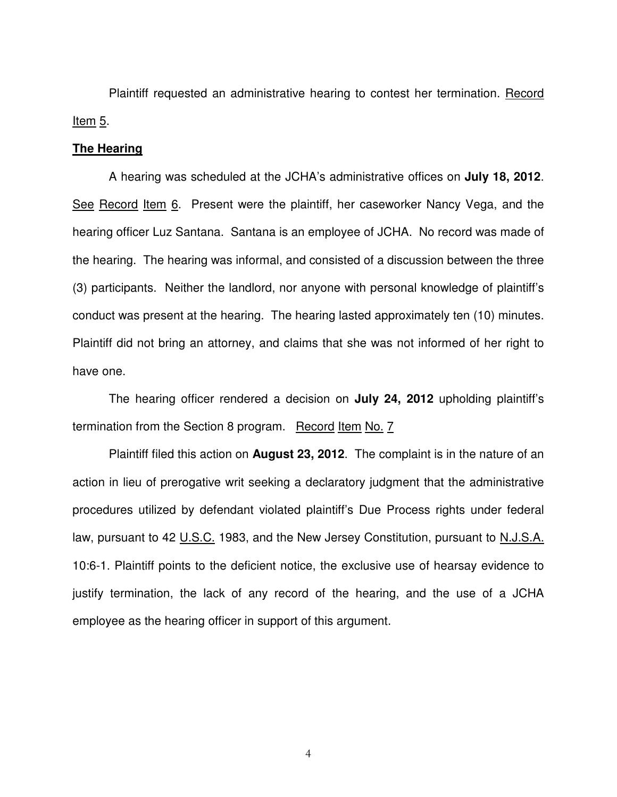Plaintiff requested an administrative hearing to contest her termination. Record Item  $5$ .

#### **The Hearing**

A hearing was scheduled at the JCHA's administrative offices on **July 18, 2012**. See Record Item 6. Present were the plaintiff, her caseworker Nancy Vega, and the hearing officer Luz Santana. Santana is an employee of JCHA. No record was made of the hearing. The hearing was informal, and consisted of a discussion between the three (3) participants. Neither the landlord, nor anyone with personal knowledge of plaintiff's conduct was present at the hearing. The hearing lasted approximately ten (10) minutes. Plaintiff did not bring an attorney, and claims that she was not informed of her right to have one.

The hearing officer rendered a decision on **July 24, 2012** upholding plaintiff's termination from the Section 8 program. Record Item No. 7

Plaintiff filed this action on **August 23, 2012**. The complaint is in the nature of an action in lieu of prerogative writ seeking a declaratory judgment that the administrative procedures utilized by defendant violated plaintiff's Due Process rights under federal law, pursuant to 42 U.S.C. 1983, and the New Jersey Constitution, pursuant to N.J.S.A. 10:6-1. Plaintiff points to the deficient notice, the exclusive use of hearsay evidence to justify termination, the lack of any record of the hearing, and the use of a JCHA employee as the hearing officer in support of this argument.

4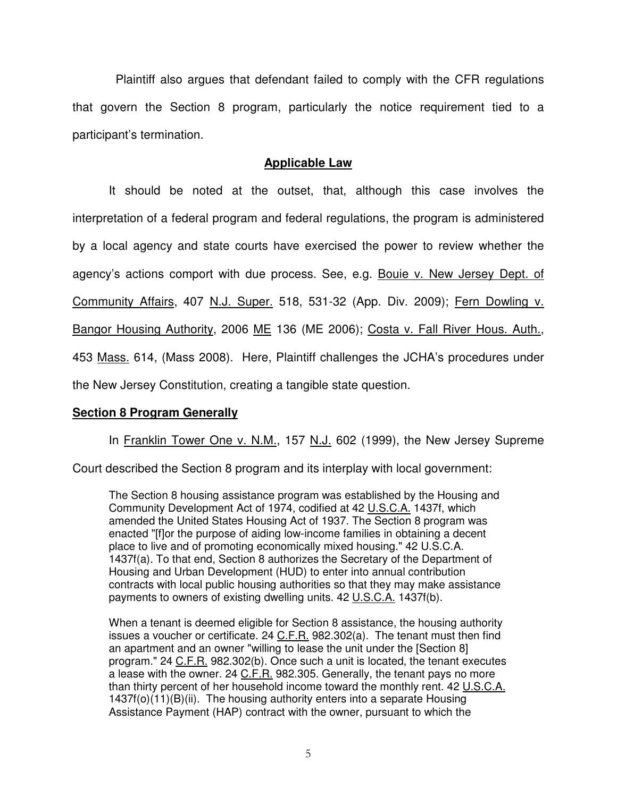Plaintiff also argues that defendant failed to comply with the CFR regulations that govern the Section 8 program, particularly the notice requirement tied to a participant's termination.

## **Applicable Law**

 It should be noted at the outset, that, although this case involves the interpretation of a federal program and federal regulations, the program is administered by a local agency and state courts have exercised the power to review whether the agency's actions comport with due process. See, e.g. Bouie v. New Jersey Dept. of Community Affairs, 407 N.J. Super. 518, 531-32 (App. Div. 2009); Fern Dowling v. Bangor Housing Authority, 2006 ME 136 (ME 2006); Costa v. Fall River Hous. Auth., 453 Mass. 614, (Mass 2008). Here, Plaintiff challenges the JCHA's procedures under the New Jersey Constitution, creating a tangible state question.

### **Section 8 Program Generally**

In Franklin Tower One v. N.M., 157 N.J. 602 (1999), the New Jersey Supreme

Court described the Section 8 program and its interplay with local government:

The Section 8 housing assistance program was established by the Housing and Community Development Act of 1974, codified at 42 U.S.C.A. 1437f, which amended the United States Housing Act of 1937. The Section 8 program was enacted "[f]or the purpose of aiding low-income families in obtaining a decent place to live and of promoting economically mixed housing." 42 U.S.C.A. 1437f(a). To that end, Section 8 authorizes the Secretary of the Department of Housing and Urban Development (HUD) to enter into annual contribution contracts with local public housing authorities so that they may make assistance payments to owners of existing dwelling units. 42 U.S.C.A. 1437f(b).

When a tenant is deemed eligible for Section 8 assistance, the housing authority issues a voucher or certificate.  $24$  C.F.R. 982.302(a). The tenant must then find an apartment and an owner "willing to lease the unit under the [Section 8] program." 24 C.F.R. 982.302(b). Once such a unit is located, the tenant executes a lease with the owner. 24 C.F.R. 982.305. Generally, the tenant pays no more than thirty percent of her household income toward the monthly rent. 42 U.S.C.A. 1437f(o)(11)(B)(ii). The housing authority enters into a separate Housing Assistance Payment (HAP) contract with the owner, pursuant to which the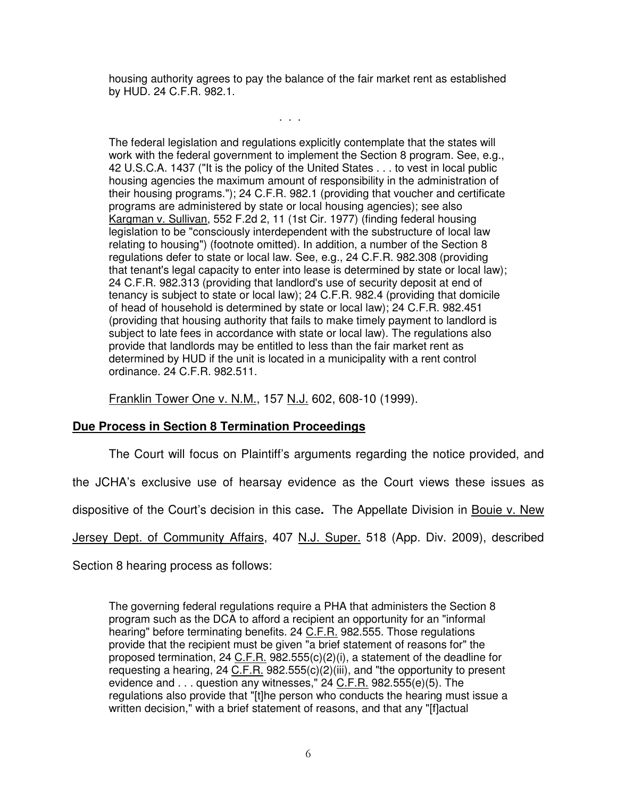housing authority agrees to pay the balance of the fair market rent as established by HUD. 24 C.F.R. 982.1.

. . .

The federal legislation and regulations explicitly contemplate that the states will work with the federal government to implement the Section 8 program. See, e.g., 42 U.S.C.A. 1437 ("It is the policy of the United States . . . to vest in local public housing agencies the maximum amount of responsibility in the administration of their housing programs."); 24 C.F.R. 982.1 (providing that voucher and certificate programs are administered by state or local housing agencies); see also Kargman v. Sullivan, 552 F.2d 2, 11 (1st Cir. 1977) (finding federal housing legislation to be "consciously interdependent with the substructure of local law relating to housing") (footnote omitted). In addition, a number of the Section 8 regulations defer to state or local law. See, e.g., 24 C.F.R. 982.308 (providing that tenant's legal capacity to enter into lease is determined by state or local law); 24 C.F.R. 982.313 (providing that landlord's use of security deposit at end of tenancy is subject to state or local law); 24 C.F.R. 982.4 (providing that domicile of head of household is determined by state or local law); 24 C.F.R. 982.451 (providing that housing authority that fails to make timely payment to landlord is subject to late fees in accordance with state or local law). The regulations also provide that landlords may be entitled to less than the fair market rent as determined by HUD if the unit is located in a municipality with a rent control ordinance. 24 C.F.R. 982.511.

Franklin Tower One v. N.M., 157 N.J. 602, 608-10 (1999).

## **Due Process in Section 8 Termination Proceedings**

The Court will focus on Plaintiff's arguments regarding the notice provided, and

the JCHA's exclusive use of hearsay evidence as the Court views these issues as

dispositive of the Court's decision in this case**.** The Appellate Division in Bouie v. New

Jersey Dept. of Community Affairs, 407 N.J. Super. 518 (App. Div. 2009), described

Section 8 hearing process as follows:

The governing federal regulations require a PHA that administers the Section 8 program such as the DCA to afford a recipient an opportunity for an "informal hearing" before terminating benefits. 24 C.F.R. 982.555. Those regulations provide that the recipient must be given "a brief statement of reasons for" the proposed termination, 24 C.F.R. 982.555(c)(2)(i), a statement of the deadline for requesting a hearing, 24 C.F.R. 982.555(c)(2)(iii), and "the opportunity to present evidence and . . . question any witnesses," 24 C.F.R. 982.555(e)(5). The regulations also provide that "[t]he person who conducts the hearing must issue a written decision," with a brief statement of reasons, and that any "[f]actual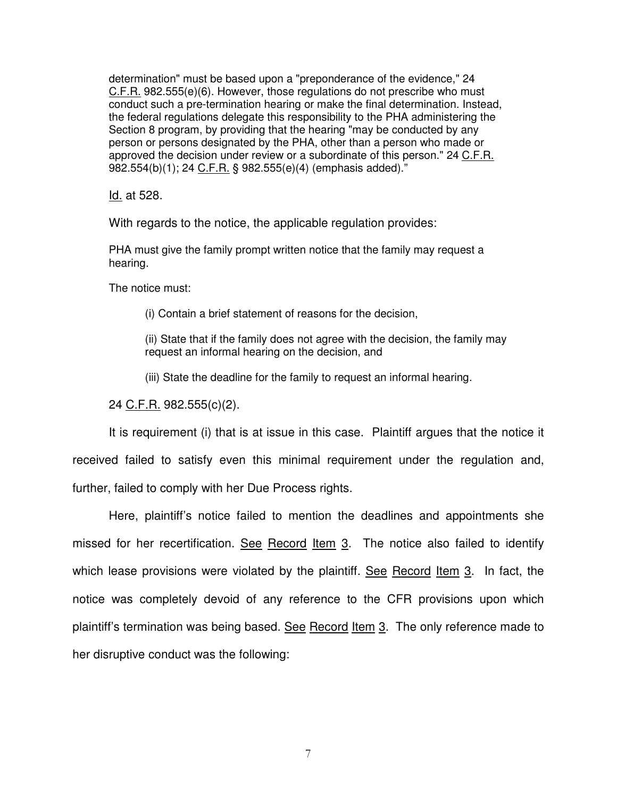determination" must be based upon a "preponderance of the evidence," 24 C.F.R. 982.555(e)(6). However, those regulations do not prescribe who must conduct such a pre-termination hearing or make the final determination. Instead, the federal regulations delegate this responsibility to the PHA administering the Section 8 program, by providing that the hearing "may be conducted by any person or persons designated by the PHA, other than a person who made or approved the decision under review or a subordinate of this person." 24 C.F.R. 982.554(b)(1); 24 C.F.R. § 982.555(e)(4) (emphasis added)."

Id. at 528.

With regards to the notice, the applicable regulation provides:

PHA must give the family prompt written notice that the family may request a hearing.

The notice must:

(i) Contain a brief statement of reasons for the decision,

(ii) State that if the family does not agree with the decision, the family may request an informal hearing on the decision, and

(iii) State the deadline for the family to request an informal hearing.

24 C.F.R. 982.555(c)(2).

It is requirement (i) that is at issue in this case. Plaintiff argues that the notice it received failed to satisfy even this minimal requirement under the regulation and, further, failed to comply with her Due Process rights.

Here, plaintiff's notice failed to mention the deadlines and appointments she missed for her recertification. See Record Item 3. The notice also failed to identify which lease provisions were violated by the plaintiff. See Record Item 3. In fact, the notice was completely devoid of any reference to the CFR provisions upon which plaintiff's termination was being based. See Record Item 3. The only reference made to her disruptive conduct was the following: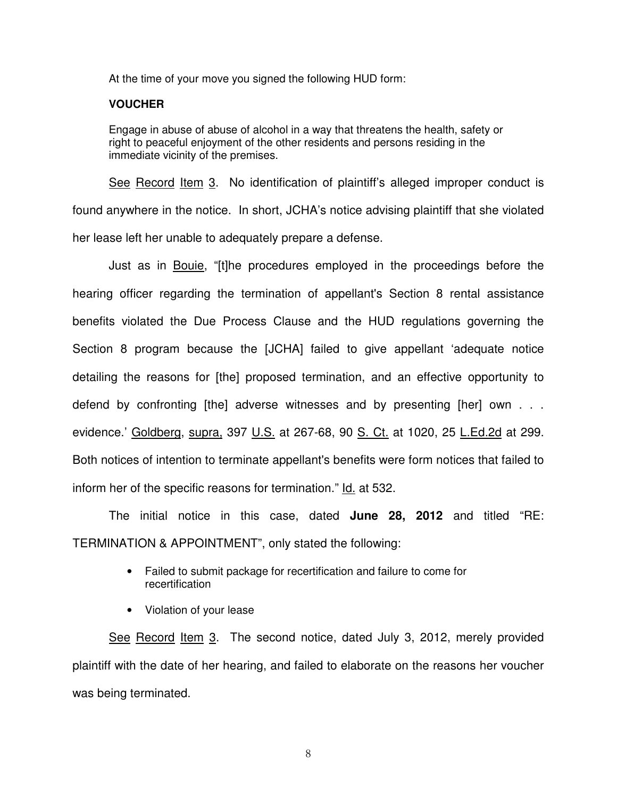At the time of your move you signed the following HUD form:

#### **VOUCHER**

Engage in abuse of abuse of alcohol in a way that threatens the health, safety or right to peaceful enjoyment of the other residents and persons residing in the immediate vicinity of the premises.

See Record Item 3. No identification of plaintiff's alleged improper conduct is found anywhere in the notice. In short, JCHA's notice advising plaintiff that she violated her lease left her unable to adequately prepare a defense.

Just as in Bouie, "[t]he procedures employed in the proceedings before the hearing officer regarding the termination of appellant's Section 8 rental assistance benefits violated the Due Process Clause and the HUD regulations governing the Section 8 program because the [JCHA] failed to give appellant 'adequate notice detailing the reasons for [the] proposed termination, and an effective opportunity to defend by confronting [the] adverse witnesses and by presenting [her] own . . . evidence.' Goldberg, supra, 397 U.S. at 267-68, 90 S. Ct. at 1020, 25 L.Ed.2d at 299. Both notices of intention to terminate appellant's benefits were form notices that failed to inform her of the specific reasons for termination." Id. at 532.

The initial notice in this case, dated **June 28, 2012** and titled "RE: TERMINATION & APPOINTMENT", only stated the following:

- Failed to submit package for recertification and failure to come for recertification
- Violation of your lease

See Record Item 3. The second notice, dated July 3, 2012, merely provided plaintiff with the date of her hearing, and failed to elaborate on the reasons her voucher was being terminated.

8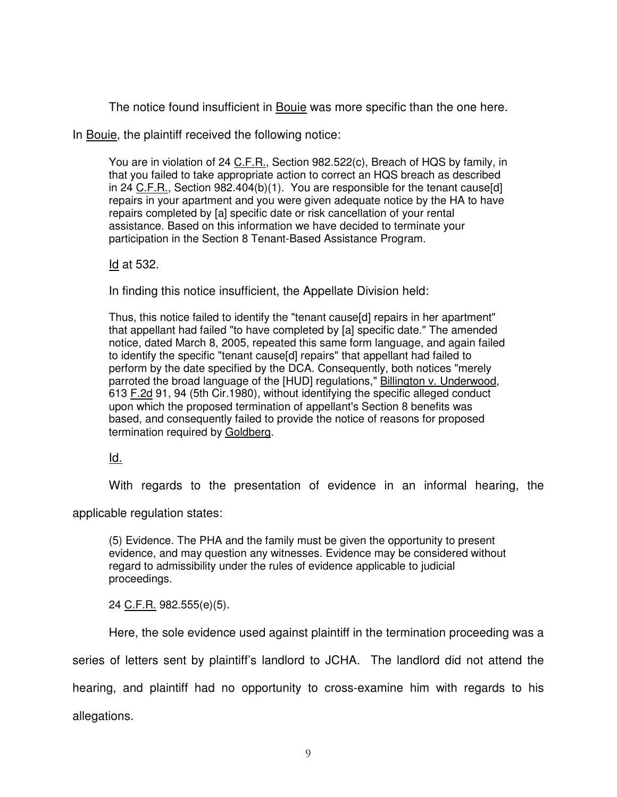The notice found insufficient in Bouie was more specific than the one here.

In Bouie, the plaintiff received the following notice:

You are in violation of 24 C.F.R., Section 982.522(c), Breach of HQS by family, in that you failed to take appropriate action to correct an HQS breach as described in 24 C.F.R., Section 982.404(b)(1). You are responsible for the tenant cause[d] repairs in your apartment and you were given adequate notice by the HA to have repairs completed by [a] specific date or risk cancellation of your rental assistance. Based on this information we have decided to terminate your participation in the Section 8 Tenant-Based Assistance Program.

Id at 532.

In finding this notice insufficient, the Appellate Division held:

Thus, this notice failed to identify the "tenant cause[d] repairs in her apartment" that appellant had failed "to have completed by [a] specific date." The amended notice, dated March 8, 2005, repeated this same form language, and again failed to identify the specific "tenant cause[d] repairs" that appellant had failed to perform by the date specified by the DCA. Consequently, both notices "merely parroted the broad language of the [HUD] regulations," Billington v. Underwood, 613 F.2d 91, 94 (5th Cir.1980), without identifying the specific alleged conduct upon which the proposed termination of appellant's Section 8 benefits was based, and consequently failed to provide the notice of reasons for proposed termination required by Goldberg.

Id.

With regards to the presentation of evidence in an informal hearing, the

applicable regulation states:

(5) Evidence. The PHA and the family must be given the opportunity to present evidence, and may question any witnesses. Evidence may be considered without regard to admissibility under the rules of evidence applicable to judicial proceedings.

24 C.F.R. 982.555(e)(5).

Here, the sole evidence used against plaintiff in the termination proceeding was a series of letters sent by plaintiff's landlord to JCHA. The landlord did not attend the hearing, and plaintiff had no opportunity to cross-examine him with regards to his

allegations.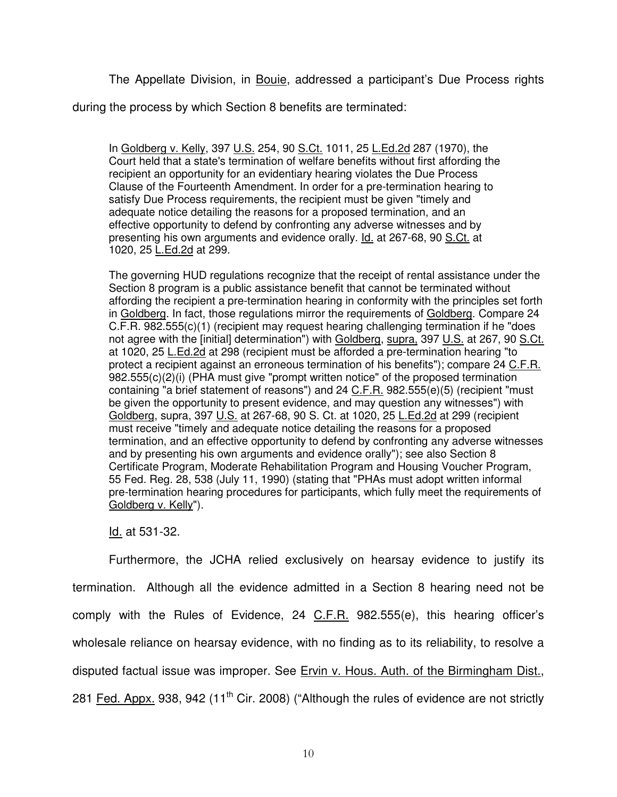The Appellate Division, in Bouie, addressed a participant's Due Process rights

during the process by which Section 8 benefits are terminated:

In Goldberg v. Kelly, 397 U.S. 254, 90 S.Ct. 1011, 25 L.Ed.2d 287 (1970), the Court held that a state's termination of welfare benefits without first affording the recipient an opportunity for an evidentiary hearing violates the Due Process Clause of the Fourteenth Amendment. In order for a pre-termination hearing to satisfy Due Process requirements, the recipient must be given "timely and adequate notice detailing the reasons for a proposed termination, and an effective opportunity to defend by confronting any adverse witnesses and by presenting his own arguments and evidence orally. Id. at 267-68, 90 S.Ct. at 1020, 25 **L.Ed.2d** at 299.

The governing HUD regulations recognize that the receipt of rental assistance under the Section 8 program is a public assistance benefit that cannot be terminated without affording the recipient a pre-termination hearing in conformity with the principles set forth in Goldberg. In fact, those regulations mirror the requirements of Goldberg. Compare 24 C.F.R. 982.555(c)(1) (recipient may request hearing challenging termination if he "does not agree with the [initial] determination") with Goldberg, supra, 397 U.S. at 267, 90 S.Ct. at 1020, 25 L.Ed.2d at 298 (recipient must be afforded a pre-termination hearing "to protect a recipient against an erroneous termination of his benefits"); compare 24 C.F.R. 982.555(c)(2)(i) (PHA must give "prompt written notice" of the proposed termination containing "a brief statement of reasons") and 24 C.F.R. 982.555(e)(5) (recipient "must be given the opportunity to present evidence, and may question any witnesses") with Goldberg, supra, 397 U.S. at 267-68, 90 S. Ct. at 1020, 25 L.Ed.2d at 299 (recipient must receive "timely and adequate notice detailing the reasons for a proposed termination, and an effective opportunity to defend by confronting any adverse witnesses and by presenting his own arguments and evidence orally"); see also Section 8 Certificate Program, Moderate Rehabilitation Program and Housing Voucher Program, 55 Fed. Reg. 28, 538 (July 11, 1990) (stating that "PHAs must adopt written informal pre-termination hearing procedures for participants, which fully meet the requirements of Goldberg v. Kelly").

Id. at 531-32.

Furthermore, the JCHA relied exclusively on hearsay evidence to justify its termination. Although all the evidence admitted in a Section 8 hearing need not be comply with the Rules of Evidence, 24 C.F.R. 982.555(e), this hearing officer's wholesale reliance on hearsay evidence, with no finding as to its reliability, to resolve a disputed factual issue was improper. See Ervin v. Hous. Auth. of the Birmingham Dist., 281 Fed. Appx. 938, 942 (11<sup>th</sup> Cir. 2008) ("Although the rules of evidence are not strictly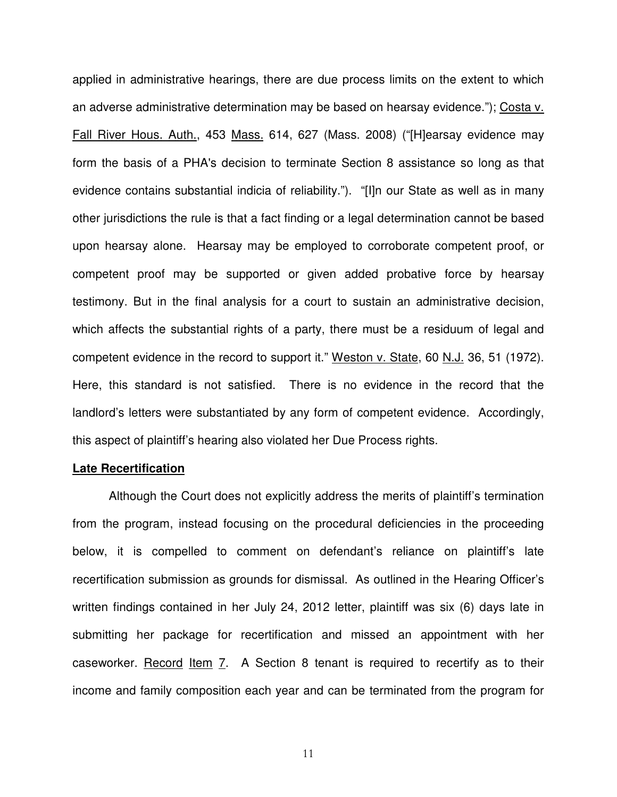applied in administrative hearings, there are due process limits on the extent to which an adverse administrative determination may be based on hearsay evidence."); Costa v. Fall River Hous. Auth., 453 Mass. 614, 627 (Mass. 2008) ("[H]earsay evidence may form the basis of a PHA's decision to terminate Section 8 assistance so long as that evidence contains substantial indicia of reliability."). "[I]n our State as well as in many other jurisdictions the rule is that a fact finding or a legal determination cannot be based upon hearsay alone. Hearsay may be employed to corroborate competent proof, or competent proof may be supported or given added probative force by hearsay testimony. But in the final analysis for a court to sustain an administrative decision, which affects the substantial rights of a party, there must be a residuum of legal and competent evidence in the record to support it." Weston v. State, 60 N.J. 36, 51 (1972). Here, this standard is not satisfied. There is no evidence in the record that the landlord's letters were substantiated by any form of competent evidence. Accordingly, this aspect of plaintiff's hearing also violated her Due Process rights.

#### **Late Recertification**

 Although the Court does not explicitly address the merits of plaintiff's termination from the program, instead focusing on the procedural deficiencies in the proceeding below, it is compelled to comment on defendant's reliance on plaintiff's late recertification submission as grounds for dismissal. As outlined in the Hearing Officer's written findings contained in her July 24, 2012 letter, plaintiff was six (6) days late in submitting her package for recertification and missed an appointment with her caseworker. Record Item 7. A Section 8 tenant is required to recertify as to their income and family composition each year and can be terminated from the program for

11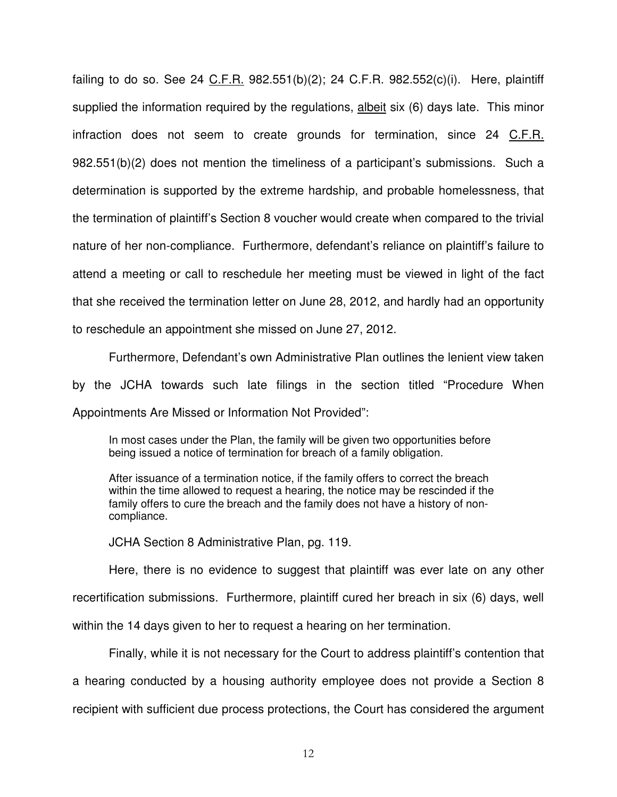failing to do so. See 24 C.F.R. 982.551(b)(2); 24 C.F.R. 982.552(c)(i). Here, plaintiff supplied the information required by the regulations, albeit six (6) days late. This minor infraction does not seem to create grounds for termination, since 24 C.F.R. 982.551(b)(2) does not mention the timeliness of a participant's submissions. Such a determination is supported by the extreme hardship, and probable homelessness, that the termination of plaintiff's Section 8 voucher would create when compared to the trivial nature of her non-compliance. Furthermore, defendant's reliance on plaintiff's failure to attend a meeting or call to reschedule her meeting must be viewed in light of the fact that she received the termination letter on June 28, 2012, and hardly had an opportunity to reschedule an appointment she missed on June 27, 2012.

 Furthermore, Defendant's own Administrative Plan outlines the lenient view taken by the JCHA towards such late filings in the section titled "Procedure When Appointments Are Missed or Information Not Provided":

In most cases under the Plan, the family will be given two opportunities before being issued a notice of termination for breach of a family obligation.

After issuance of a termination notice, if the family offers to correct the breach within the time allowed to request a hearing, the notice may be rescinded if the family offers to cure the breach and the family does not have a history of noncompliance.

JCHA Section 8 Administrative Plan, pg. 119.

Here, there is no evidence to suggest that plaintiff was ever late on any other recertification submissions. Furthermore, plaintiff cured her breach in six (6) days, well within the 14 days given to her to request a hearing on her termination.

Finally, while it is not necessary for the Court to address plaintiff's contention that a hearing conducted by a housing authority employee does not provide a Section 8 recipient with sufficient due process protections, the Court has considered the argument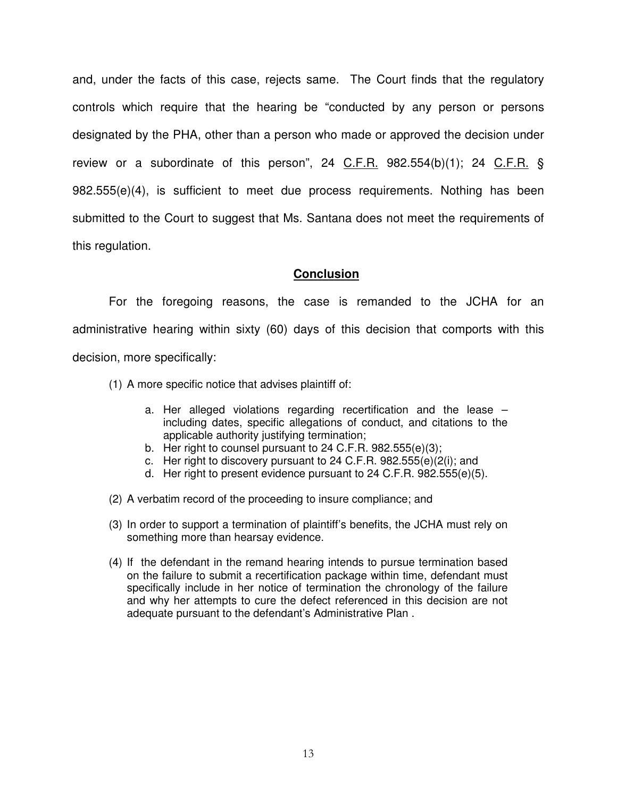and, under the facts of this case, rejects same. The Court finds that the regulatory controls which require that the hearing be "conducted by any person or persons designated by the PHA, other than a person who made or approved the decision under review or a subordinate of this person", 24 C.F.R. 982.554(b)(1); 24 C.F.R. § 982.555(e)(4), is sufficient to meet due process requirements. Nothing has been submitted to the Court to suggest that Ms. Santana does not meet the requirements of this regulation.

### **Conclusion**

For the foregoing reasons, the case is remanded to the JCHA for an administrative hearing within sixty (60) days of this decision that comports with this decision, more specifically:

- (1) A more specific notice that advises plaintiff of:
	- a. Her alleged violations regarding recertification and the lease including dates, specific allegations of conduct, and citations to the applicable authority justifying termination;
	- b. Her right to counsel pursuant to 24 C.F.R. 982.555(e)(3);
	- c. Her right to discovery pursuant to 24 C.F.R. 982.555(e)(2(i); and
	- d. Her right to present evidence pursuant to 24 C.F.R. 982.555(e)(5).
- (2) A verbatim record of the proceeding to insure compliance; and
- (3) In order to support a termination of plaintiff's benefits, the JCHA must rely on something more than hearsay evidence.
- (4) If the defendant in the remand hearing intends to pursue termination based on the failure to submit a recertification package within time, defendant must specifically include in her notice of termination the chronology of the failure and why her attempts to cure the defect referenced in this decision are not adequate pursuant to the defendant's Administrative Plan .